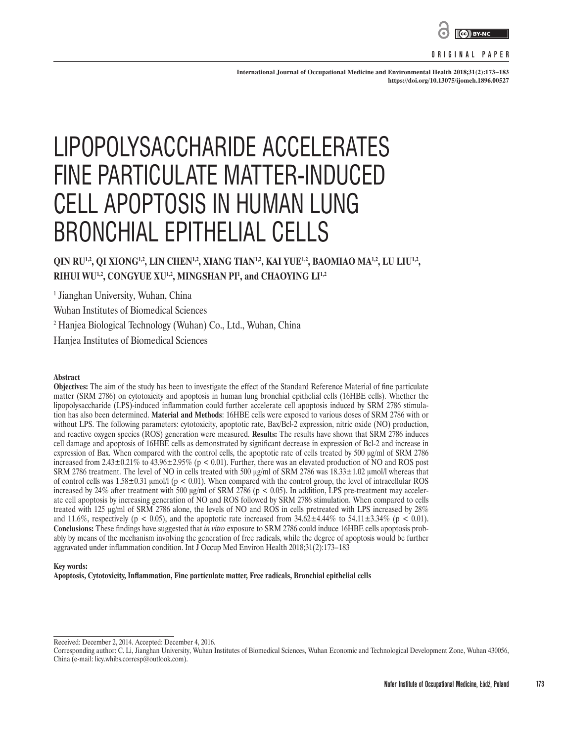

#### **ORIGINAL PAPER**

**International Journal of Occupational Medicine and Environmental Health 2018;31(2):173–183 <https://doi.org/10.13075/ijomeh.1896.00527>**

# LIPOPOLYSACCHARIDE ACCELERATES FINE PARTICULATE MATTER-INDUCED CELL APOPTOSIS IN HUMAN LUNG BRONCHIAL EPITHELIAL CELLS

# QIN RU<sup>1,2</sup>, QI XIONG<sup>1,2</sup>, LIN CHEN<sup>1,2</sup>, XIANG TIAN<sup>1,2</sup>, KAI YUE<sup>1,2</sup>, BAOMIAO MA<sup>1,2</sup>, LU LIU<sup>1,2</sup>, **RIHUI WU1,2, CONGYUE XU1,2, MINGSHAN PI1 , and CHAOYING LI1,2**

<sup>1</sup> Jianghan University, Wuhan, China

Wuhan Institutes of Biomedical Sciences

2 Hanjea Biological Technology (Wuhan) Co., Ltd., Wuhan, China

Hanjea Institutes of Biomedical Sciences

#### **Abstract**

**Objectives:** The aim of the study has been to investigate the effect of the Standard Reference Material of fine particulate matter (SRM 2786) on cytotoxicity and apoptosis in human lung bronchial epithelial cells (16HBE cells). Whether the lipopolysaccharide (LPS)-induced inflammation could further accelerate cell apoptosis induced by SRM 2786 stimulation has also been determined. **Material and Methods**: 16HBE cells were exposed to various doses of SRM 2786 with or without LPS. The following parameters: cytotoxicity, apoptotic rate, Bax/Bcl-2 expression, nitric oxide (NO) production, and reactive oxygen species (ROS) generation were measured. **Results:** The results have shown that SRM 2786 induces cell damage and apoptosis of 16HBE cells as demonstrated by significant decrease in expression of Bcl-2 and increase in expression of Bax. When compared with the control cells, the apoptotic rate of cells treated by 500 μg/ml of SRM 2786 increased from  $2.43\pm0.21\%$  to  $43.96\pm2.95\%$  (p < 0.01). Further, there was an elevated production of NO and ROS post SRM 2786 treatment. The level of NO in cells treated with 500 μg/ml of SRM 2786 was 18.33±1.02 μmol/l whereas that of control cells was  $1.58\pm0.31$  µmol/l ( $p < 0.01$ ). When compared with the control group, the level of intracellular ROS increased by 24% after treatment with 500  $\mu g$ /ml of SRM 2786 (p < 0.05). In addition, LPS pre-treatment may accelerate cell apoptosis by increasing generation of NO and ROS followed by SRM 2786 stimulation. When compared to cells treated with 125 μg/ml of SRM 2786 alone, the levels of NO and ROS in cells pretreated with LPS increased by 28% and 11.6%, respectively (p < 0.05), and the apoptotic rate increased from  $34.62 \pm 4.44\%$  to  $54.11 \pm 3.34\%$  (p < 0.01). **Conclusions:** These findings have suggested that *in vitro* exposure to SRM 2786 could induce 16HBE cells apoptosis probably by means of the mechanism involving the generation of free radicals, while the degree of apoptosis would be further aggravated under inflammation condition. Int J Occup Med Environ Health 2018;31(2):173–183

#### **Key words:**

**Apoptosis, Cytotoxicity, Inflammation, Fine particulate matter, Free radicals, Bronchial epithelial cells**

Received: December 2, 2014. Accepted: December 4, 2016.

Corresponding author: C. Li, Jianghan University, Wuhan Institutes of Biomedical Sciences, Wuhan Economic and Technological Development Zone, Wuhan 430056, China (e-mail: licy.whibs.corresp@outlook.com).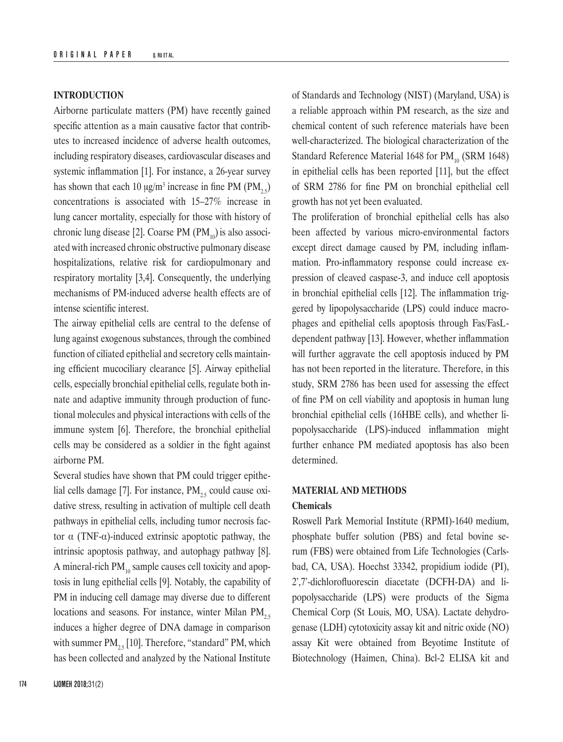# **INTRODUCTION**

Airborne particulate matters (PM) have recently gained specific attention as a main causative factor that contributes to increased incidence of adverse health outcomes, including respiratory diseases, cardiovascular diseases and systemic inflammation [1]. For instance, a 26-year survey has shown that each 10  $\mu$ g/m<sup>3</sup> increase in fine PM (PM<sub>25</sub>) concentrations is associated with 15–27% increase in lung cancer mortality, especially for those with history of chronic lung disease [2]. Coarse PM  $(PM_{10})$  is also associated with increased chronic obstructive pulmonary disease hospitalizations, relative risk for cardiopulmonary and respiratory mortality [3,4]. Consequently, the underlying mechanisms of PM-induced adverse health effects are of intense scientific interest.

The airway epithelial cells are central to the defense of lung against exogenous substances, through the combined function of ciliated epithelial and secretory cells maintaining efficient mucociliary clearance [5]. Airway epithelial cells, especially bronchial epithelial cells, regulate both innate and adaptive immunity through production of functional molecules and physical interactions with cells of the immune system [6]. Therefore, the bronchial epithelial cells may be considered as a soldier in the fight against airborne PM.

Several studies have shown that PM could trigger epithelial cells damage [7]. For instance,  $PM_{25}$  could cause oxidative stress, resulting in activation of multiple cell death pathways in epithelial cells, including tumor necrosis factor α (TNF-α)-induced extrinsic apoptotic pathway, the intrinsic apoptosis pathway, and autophagy pathway [8]. A mineral-rich  $PM_{10}$  sample causes cell toxicity and apoptosis in lung epithelial cells [9]. Notably, the capability of PM in inducing cell damage may diverse due to different locations and seasons. For instance, winter Milan  $PM_{2.5}$ induces a higher degree of DNA damage in comparison with summer  $PM_{25}$  [10]. Therefore, "standard" PM, which has been collected and analyzed by the National Institute of Standards and Technology (NIST) (Maryland, USA) is a reliable approach within PM research, as the size and chemical content of such reference materials have been well-characterized. The biological characterization of the Standard Reference Material 1648 for  $PM_{10}$  (SRM 1648) in epithelial cells has been reported [11], but the effect of SRM 2786 for fine PM on bronchial epithelial cell growth has not yet been evaluated.

The proliferation of bronchial epithelial cells has also been affected by various micro-environmental factors except direct damage caused by PM, including inflammation. Pro-inflammatory response could increase expression of cleaved caspase-3, and induce cell apoptosis in bronchial epithelial cells [12]. The inflammation triggered by lipopolysaccharide (LPS) could induce macrophages and epithelial cells apoptosis through Fas/FasLdependent pathway [13]. However, whether inflammation will further aggravate the cell apoptosis induced by PM has not been reported in the literature. Therefore, in this study, SRM 2786 has been used for assessing the effect of fine PM on cell viability and apoptosis in human lung bronchial epithelial cells (16HBE cells), and whether lipopolysaccharide (LPS)-induced inflammation might further enhance PM mediated apoptosis has also been determined.

# **MATERIAL AND METHODS**

#### **Chemicals**

Roswell Park Memorial Institute (RPMI)-1640 medium, phosphate buffer solution (PBS) and fetal bovine serum (FBS) were obtained from Life Technologies (Carlsbad, CA, USA). Hoechst 33342, propidium iodide (PI), 2',7'-dichlorofluorescin diacetate (DCFH-DA) and lipopolysaccharide (LPS) were products of the Sigma Chemical Corp (St Louis, MO, USA). Lactate dehydrogenase (LDH) cytotoxicity assay kit and nitric oxide (NO) assay Kit were obtained from Beyotime Institute of Biotechnology (Haimen, China). Bcl-2 ELISA kit and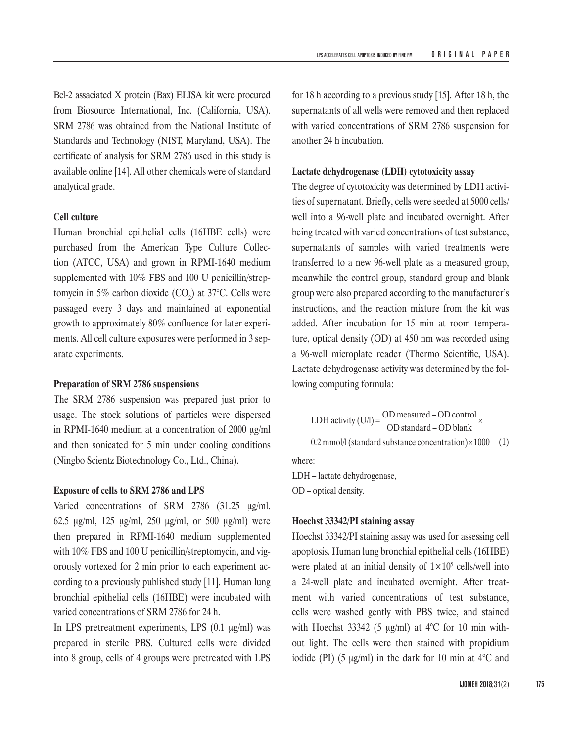Bcl-2 assaciated X protein (Bax) ELISA kit were procured from Biosource International, Inc. (California, USA). SRM 2786 was obtained from the National Institute of Standards and Technology (NIST, Maryland, USA). The certificate of analysis for SRM 2786 used in this study is available online [14]. All other chemicals were of standard analytical grade.

#### **Cell culture**

Human bronchial epithelial cells (16HBE cells) were purchased from the American Type Culture Collection (ATCC, USA) and grown in RPMI-1640 medium supplemented with 10% FBS and 100 U penicillin/streptomycin in 5% carbon dioxide  $(CO_2)$  at 37°C. Cells were passaged every 3 days and maintained at exponential growth to approximately 80% confluence for later experiments. All cell culture exposures were performed in 3 separate experiments.

## **Preparation of SRM 2786 suspensions**

The SRM 2786 suspension was prepared just prior to usage. The stock solutions of particles were dispersed in RPMI-1640 medium at a concentration of 2000 μg/ml and then sonicated for 5 min under cooling conditions (Ningbo Scientz Biotechnology Co., Ltd., China).

#### **Exposure of cells to SRM 2786 and LPS**

Varied concentrations of SRM 2786 (31.25 μg/ml, 62.5 μg/ml, 125 μg/ml, 250 μg/ml, or 500 μg/ml) were then prepared in RPMI-1640 medium supplemented with 10% FBS and 100 U penicillin/streptomycin, and vigorously vortexed for 2 min prior to each experiment according to a previously published study [11]. Human lung bronchial epithelial cells (16HBE) were incubated with varied concentrations of SRM 2786 for 24 h.

In LPS pretreatment experiments, LPS (0.1 μg*/*ml) was prepared in sterile PBS. Cultured cells were divided into 8 group, cells of 4 groups were pretreated with LPS for 18 h according to a previous study [15]. After 18 h, the supernatants of all wells were removed and then replaced with varied concentrations of SRM 2786 suspension for another 24 h incubation.

## **Lactate dehydrogenase (LDH) cytotoxicity assay**

The degree of cytotoxicity was determined by LDH activities of supernatant. Briefly, cells were seeded at 5000 cells/ well into a 96-well plate and incubated overnight. After being treated with varied concentrations of test substance, supernatants of samples with varied treatments were transferred to a new 96-well plate as a measured group, meanwhile the control group, standard group and blank group were also prepared according to the manufacturer's instructions, and the reaction mixture from the kit was added. After incubation for 15 min at room temperature, optical density (OD) at 450 nm was recorded using a 96-well microplate reader (Thermo Scientific, USA). Lactate dehydrogenase activity was determined by the following computing formula:

LDH activity (U/l) = 
$$
\frac{OD \text{ measured} - OD \text{ control}}{OD \text{ standard} - OD \text{ blank}} \times
$$
  
0.2 mmol/l (standard substance concentration) × 1000 (1)

where:

LDH – lactate dehydrogenase, OD – optical density.

#### **Hoechst 33342/PI staining assay**

Hoechst 33342/PI staining assay was used for assessing cell apoptosis. Human lung bronchial epithelial cells (16HBE) were plated at an initial density of  $1 \times 10^5$  cells/well into a 24-well plate and incubated overnight. After treatment with varied concentrations of test substance, cells were washed gently with PBS twice, and stained with Hoechst 33342 (5  $\mu$ g/ml) at 4°C for 10 min without light. The cells were then stained with propidium iodide (PI) (5 μg/ml) in the dark for 10 min at  $4^{\circ}$ C and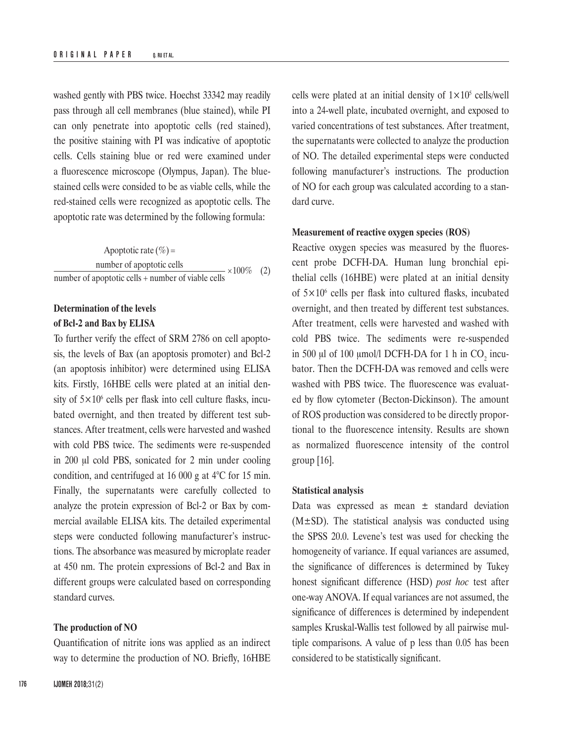washed gently with PBS twice. Hoechst 33342 may readily pass through all cell membranes (blue stained), while PI can only penetrate into apoptotic cells (red stained), the positive staining with PI was indicative of apoptotic cells. Cells staining blue or red were examined under a fluorescence microscope (Olympus, Japan). The bluestained cells were consided to be as viable cells, while the red-stained cells were recognized as apoptotic cells. The apoptotic rate was determined by the following formula:

100% (2) number of apoptotic cells + number of viable cells number of apoptotic cells Apoptotic rate  $(\% )$  =

# **Determination of the levels of Bcl-2 and Bax by ELISA**

To further verify the effect of SRM 2786 on cell apoptosis, the levels of Bax (an apoptosis promoter) and Bcl-2 (an apoptosis inhibitor) were determined using ELISA kits. Firstly, 16HBE cells were plated at an initial density of  $5 \times 10^6$  cells per flask into cell culture flasks, incubated overnight, and then treated by different test substances. After treatment, cells were harvested and washed with cold PBS twice. The sediments were re-suspended in 200 μl cold PBS, sonicated for 2 min under cooling condition, and centrifuged at 16 000 g at 4°C for 15 min. Finally, the supernatants were carefully collected to analyze the protein expression of Bcl-2 or Bax by commercial available ELISA kits. The detailed experimental steps were conducted following manufacturer's instructions. The absorbance was measured by microplate reader at 450 nm. The protein expressions of Bcl-2 and Bax in different groups were calculated based on corresponding standard curves.

#### **The production of NO**

Quantification of nitrite ions was applied as an indirect way to determine the production of NO. Briefly, 16HBE cells were plated at an initial density of  $1 \times 10^5$  cells/well into a 24-well plate, incubated overnight, and exposed to varied concentrations of test substances. After treatment, the supernatants were collected to analyze the production of NO. The detailed experimental steps were conducted following manufacturer's instructions. The production of NO for each group was calculated according to a standard curve.

## **Measurement of reactive oxygen species (ROS)**

Reactive oxygen species was measured by the fluorescent probe DCFH-DA. Human lung bronchial epithelial cells (16HBE) were plated at an initial density of 5×10<sup>6</sup> cells per flask into cultured flasks, incubated overnight, and then treated by different test substances. After treatment, cells were harvested and washed with cold PBS twice. The sediments were re-suspended in 500  $\mu$ l of 100  $\mu$ mol/l DCFH-DA for 1 h in CO<sub>2</sub> incubator. Then the DCFH-DA was removed and cells were washed with PBS twice. The fluorescence was evaluated by flow cytometer (Becton-Dickinson). The amount of ROS production was considered to be directly proportional to the fluorescence intensity. Results are shown as normalized fluorescence intensity of the control group [16].

#### **Statistical analysis**

Data was expressed as mean  $\pm$  standard deviation  $(M±SD)$ . The statistical analysis was conducted using the SPSS 20.0. Levene's test was used for checking the homogeneity of variance. If equal variances are assumed, the significance of differences is determined by Tukey honest significant difference (HSD) *post hoc* test after one-way ANOVA. If equal variances are not assumed, the significance of differences is determined by independent samples Kruskal-Wallis test followed by all pairwise multiple comparisons. A value of p less than 0.05 has been considered to be statistically significant.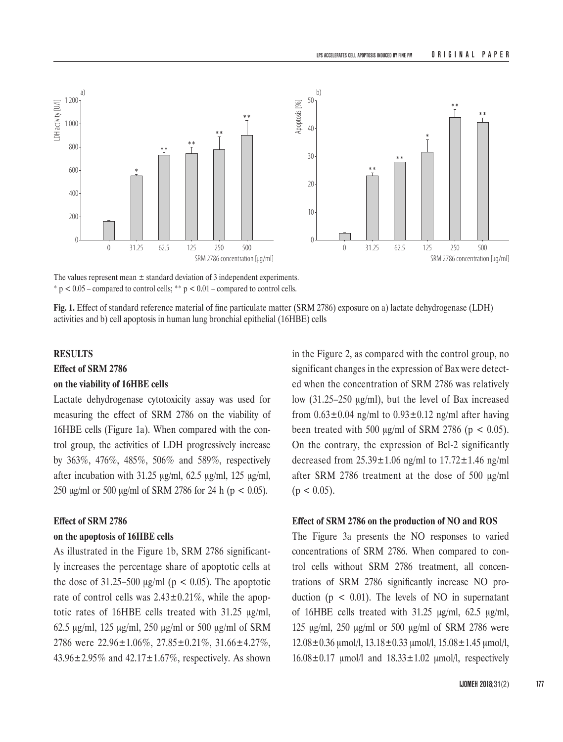

The values represent mean  $\pm$  standard deviation of 3 independent experiments.  $* p < 0.05$  – compared to control cells;  $* p < 0.01$  – compared to control cells.

**Fig. 1.** Effect of standard reference material of fine particulate matter (SRM 2786) exposure on a) lactate dehydrogenase (LDH) activities and b) cell apoptosis in human lung bronchial epithelial (16HBE) cells

# **RESULTS**

#### **Effect of SRM 2786**

#### **on the viability of 16HBE cells**

Lactate dehydrogenase cytotoxicity assay was used for measuring the effect of SRM 2786 on the viability of 16HBE cells (Figure 1a). When compared with the control group, the activities of LDH progressively increase by 363%, 476%, 485%, 506% and 589%, respectively after incubation with 31.25 μg/ml, 62.5 μg/ml, 125 μg/ml, 250 μg/ml or 500 μg/ml of SRM 2786 for 24 h (p < 0.05).

#### **Effect of SRM 2786**

#### **on the apoptosis of 16HBE cells**

As illustrated in the Figure 1b, SRM 2786 significantly increases the percentage share of apoptotic cells at the dose of  $31.25-500 \mu g/ml$  (p < 0.05). The apoptotic rate of control cells was  $2.43 \pm 0.21\%$ , while the apoptotic rates of 16HBE cells treated with 31.25 μg/ml, 62.5 μg/ml, 125 μg/ml, 250 μg/ml or 500 μg/ml of SRM 2786 were 22.96±1.06%, 27.85±0.21%, 31.66±4.27%, 43.96 $\pm$ 2.95% and 42.17 $\pm$ 1.67%, respectively. As shown

in the Figure 2, as compared with the control group, no significant changes in the expression of Bax were detected when the concentration of SRM 2786 was relatively low (31.25–250 μg*/*ml), but the level of Bax increased from  $0.63 \pm 0.04$  ng/ml to  $0.93 \pm 0.12$  ng/ml after having been treated with 500 μg*/*ml of SRM 2786 (p < 0.05). On the contrary, the expression of Bcl-2 significantly decreased from  $25.39 \pm 1.06$  ng/ml to  $17.72 \pm 1.46$  ng/ml after SRM 2786 treatment at the dose of 500 μg/ml  $(p < 0.05)$ .

# **Effect of SRM 2786 on the production of NO and ROS**

The Figure 3a presents the NO responses to varied concentrations of SRM 2786. When compared to control cells without SRM 2786 treatment, all concentrations of SRM 2786 significantly increase NO production ( $p < 0.01$ ). The levels of NO in supernatant of 16HBE cells treated with 31.25 μg/ml, 62.5 μg/ml, 125 μg/ml, 250 μg/ml or 500 μg/ml of SRM 2786 were  $12.08 \pm 0.36$  μmol/l,  $13.18 \pm 0.33$  μmol/l,  $15.08 \pm 1.45$  μmol/l,  $16.08\pm0.17$  μmol/l and  $18.33\pm1.02$  μmol/l, respectively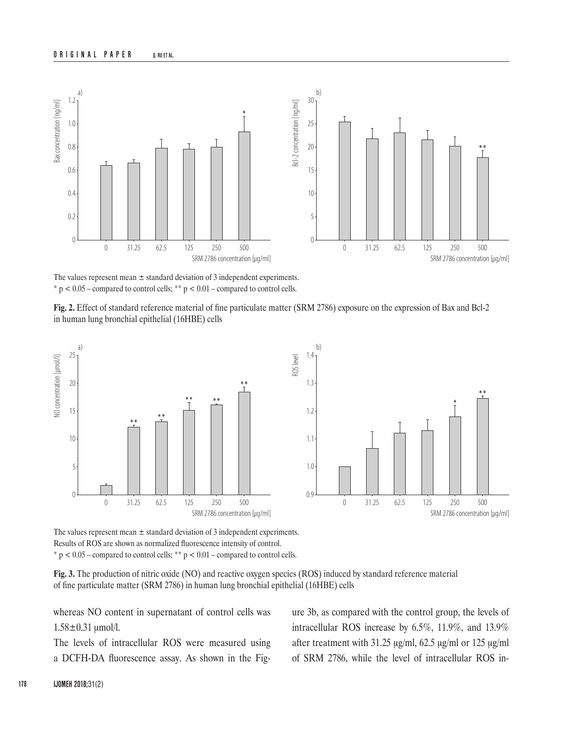

The values represent mean  $\pm$  standard deviation of 3 independent experiments.  $* p < 0.05$  – compared to control cells;  $* p < 0.01$  – compared to control cells.

**Fig. 2.** Effect of standard reference material of fine particulate matter (SRM 2786) exposure on the expression of Bax and Bcl-2 in human lung bronchial epithelial (16HBE) cells



The values represent mean ± standard deviation of 3 independent experiments. Results of ROS are shown as normalized fluorescence intensity of control.  $*$  p < 0.05 – compared to control cells;  $*$  $p$  < 0.01 – compared to control cells.

**Fig. 3.** The production of nitric oxide (NO) and reactive oxygen species (ROS) induced by standard reference material of fine particulate matter (SRM 2786) in human lung bronchial epithelial (16HBE) cells

whereas NO content in supernatant of control cells was  $1.58 \pm 0.31$  umol/l.

The levels of intracellular ROS were measured using a DCFH-DA fluorescence assay. As shown in the [Fig-](http://www.ncbi.nlm.nih.gov/pmc/articles/PMC3707896/figure/pone-0068808-g009/) [ure](http://www.ncbi.nlm.nih.gov/pmc/articles/PMC3707896/figure/pone-0068808-g009/) 3b, as compared with the control group, the levels of intracellular ROS increase by 6.5%, 11.9%, and 13.9% after treatment with 31.25 μg/ml, 62.5 μg/ml or 125 μg/ml of SRM 2786, while the level of intracellular ROS in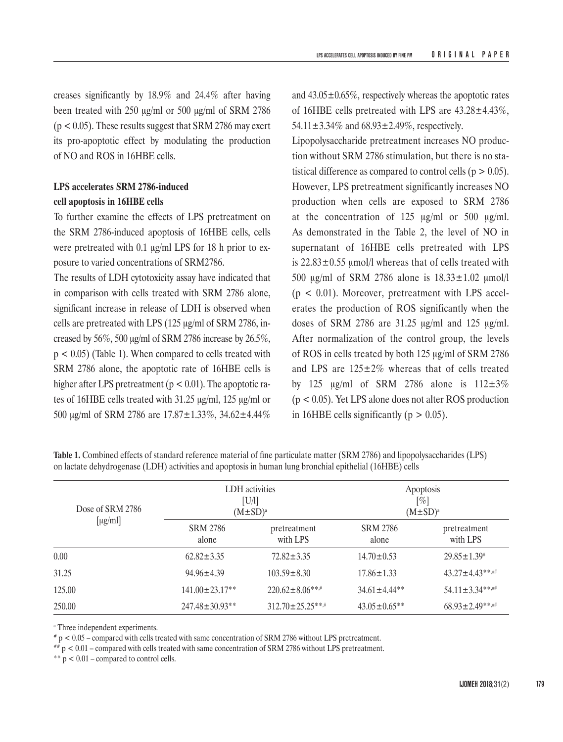creases significantly by 18.9% and 24.4% after having been treated with 250 μg/ml or 500 μg/ml of SRM 2786  $(p < 0.05)$ . These results suggest that SRM 2786 may exert its pro-apoptotic effect by modulating the production of NO and ROS in 16HBE cells.

# **LPS accelerates SRM 2786-induced cell apoptosis in 16HBE cells**

To further examine the effects of LPS pretreatment on the SRM 2786-induced apoptosis of 16HBE cells, cells were pretreated with 0.1 μg/ml LPS for 18 h prior to exposure to varied concentrations of SRM2786.

The results of LDH cytotoxicity assay have indicated that in comparison with cells treated with SRM 2786 alone, significant increase in release of LDH is observed when cells are pretreated with LPS (125 μg/ml of SRM 2786, increased by 56%, 500 μg/ml of SRM 2786 increase by 26.5%,  $p < 0.05$ ) (Table 1). When compared to cells treated with SRM 2786 alone, the apoptotic rate of 16HBE cells is higher after LPS pretreatment ( $p < 0.01$ ). The apoptotic rates of 16HBE cells treated with 31.25 μg/ml, 125 μg/ml or 500 μg/ml of SRM 2786 are 17.87±1.33%, 34.62±4.44%

and  $43.05 \pm 0.65\%$ , respectively whereas the apoptotic rates of 16HBE cells pretreated with LPS are 43.28±4.43%, 54.11±3.34% and 68.93±2.49%, respectively.

Lipopolysaccharide pretreatment increases NO production without SRM 2786 stimulation, but there is no statistical difference as compared to control cells ( $p > 0.05$ ). However, LPS pretreatment significantly increases NO production when cells are exposed to SRM 2786 at the concentration of 125 μg*/*ml or 500 μg*/*ml. As demonstrated in the Table 2, the level of NO in supernatant of 16HBE cells pretreated with LPS is  $22.83 \pm 0.55$  umol/l whereas that of cells treated with 500 μg/ml of SRM 2786 alone is 18.33±1.02 μmol/l  $(p < 0.01)$ . Moreover, pretreatment with LPS accelerates the production of ROS significantly when the doses of SRM 2786 are 31.25 μg/ml and 125 μg/ml. After normalization of the control group, the levels of ROS in cells treated by both 125 μg/ml of SRM 2786 and LPS are  $125\pm2\%$  whereas that of cells treated by 125  $\mu$ g/ml of SRM 2786 alone is 112 $\pm$ 3% (p < 0.05). Yet LPS alone does not alter ROS production in 16HBE cells significantly ( $p > 0.05$ ).

**Table 1.** Combined effects of standard reference material of fine particulate matter (SRM 2786) and lipopolysaccharides (LPS) on lactate dehydrogenase (LDH) activities and apoptosis in human lung bronchial epithelial (16HBE) cells

| Dose of SRM 2786<br>$\left[\mu\text{g/ml}\right]$ | LDH activities<br>[U/1]<br>$(M \pm SD)^a$ |                          | Apoptosis<br>[%]<br>$(M \pm SD)^a$ |                          |
|---------------------------------------------------|-------------------------------------------|--------------------------|------------------------------------|--------------------------|
|                                                   | <b>SRM 2786</b><br>alone                  | pretreatment<br>with LPS | <b>SRM 2786</b><br>alone           | pretreatment<br>with LPS |
| 0.00                                              | $62.82 + 3.35$                            | $72.82 + 3.35$           | $14.70 \pm 0.53$                   | $29.85 \pm 1.39^{\#}$    |
| 31.25                                             | $94.96 + 4.39$                            | $103.59 \pm 8.30$        | $17.86 \pm 1.33$                   | $43.27 \pm 4.43$ **      |
| 125.00                                            | $141.00 + 23.17**$                        | $220.62 \pm 8.06***$     | $34.61 \pm 4.44$ **                | $54.11 \pm 3.34***$      |
| 250.00                                            | $247.48 \pm 30.93**$                      | $312.70 \pm 25.25***$    | $43.05 \pm 0.65$ **                | $68.93 \pm 2.49$ **#     |

a Three independent experiments.

 $\pi$  p < 0.05 – compared with cells treated with same concentration of SRM 2786 without LPS pretreatment.

 $** p < 0.01$  – compared with cells treated with same concentration of SRM 2786 without LPS pretreatment.

\*\* p < 0.01 – compared to control cells.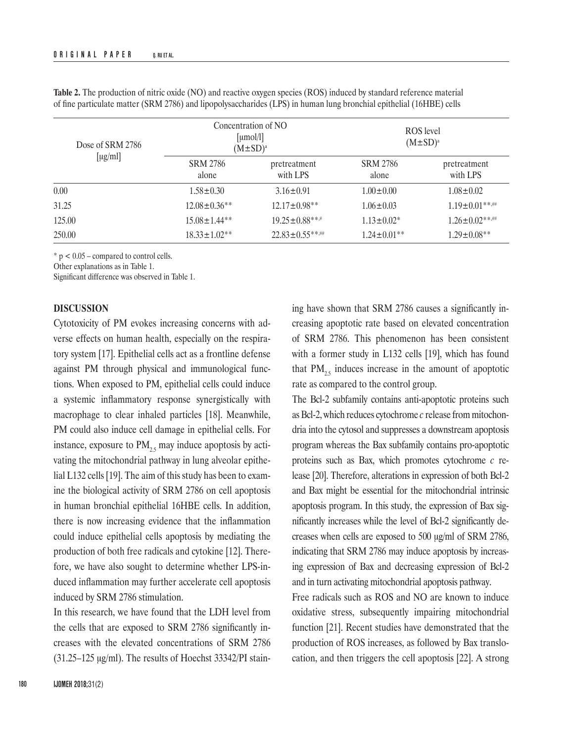| Dose of SRM 2786<br>[ $\mu$ g/ml] | Concentration of NO<br>[µmol/l]<br>$(M \pm SD)^a$ |                          | ROS level<br>$(M \pm SD)^a$ |                          |
|-----------------------------------|---------------------------------------------------|--------------------------|-----------------------------|--------------------------|
|                                   | <b>SRM 2786</b><br>alone                          | pretreatment<br>with LPS | <b>SRM 2786</b><br>alone    | pretreatment<br>with LPS |
| 0.00                              | $1.58 \pm 0.30$                                   | $3.16 \pm 0.91$          | $1.00 \pm 0.00$             | $1.08 \pm 0.02$          |
| 31.25                             | $12.08 \pm 0.36$ **                               | $12.17 \pm 0.98$ **      | $1.06 \pm 0.03$             | $1.19 \pm 0.01$ **#      |
| 125.00                            | $15.08 \pm 1.44$ **                               | $19.25 \pm 0.88***$      | $1.13 \pm 0.02^*$           | $1.26 \pm 0.02$ **.#     |
| 250.00                            | $18.33 \pm 1.02**$                                | $22.83 \pm 0.55$ **#     | $1.24 \pm 0.01$ **          | $1.29 \pm 0.08$ **       |

**Table 2.** The production of nitric oxide (NO) and reactive oxygen species (ROS) induced by standard reference material of fine particulate matter (SRM 2786) and lipopolysaccharides (LPS) in human lung bronchial epithelial (16HBE) cells

\* p < 0.05 – compared to control cells.

Other explanations as in Table 1.

Significant difference was observed in Table 1.

#### **DISCUSSION**

Cytotoxicity of PM evokes increasing concerns with adverse effects on human health, especially on the respiratory system [17]. Epithelial cells act as a frontline defense against PM through physical and immunological functions. When exposed to PM, epithelial cells could induce a systemic inflammatory response synergistically with macrophage to clear inhaled particles [18]. Meanwhile, PM could also induce cell damage in epithelial cells. For instance, exposure to  $PM<sub>25</sub>$  may induce apoptosis by activating the mitochondrial pathway in lung alveolar epithelial L132 cells [19]. The aim of this study has been to examine the biological activity of SRM 2786 on cell apoptosis in human bronchial epithelial 16HBE cells. In addition, there is now increasing evidence that the inflammation could induce epithelial cells apoptosis by mediating the production of both free radicals and cytokine [12]. Therefore, we have also sought to determine whether LPS-induced inflammation may further accelerate cell apoptosis induced by SRM 2786 stimulation.

In this research, we have found that the LDH level from the cells that are exposed to SRM 2786 significantly increases with the elevated concentrations of SRM 2786 (31.25–125 μg/ml). The results of Hoechst 33342/PI stain-

ing have shown that SRM 2786 causes a significantly increasing apoptotic rate based on elevated concentration of SRM 2786. This phenomenon has been consistent with a former study in L132 cells [19], which has found that  $PM_{2,5}$  induces increase in the amount of apoptotic rate as compared to the control group.

The Bcl-2 subfamily contains anti-apoptotic proteins such as Bcl-2, which reduces cytochrome *c* release from mitochondria into the cytosol and suppresses a downstream apoptosis program whereas the Bax subfamily contains pro-apoptotic proteins such as Bax, which promotes cytochrome *c* release [20]. Therefore, alterations in expression of both Bcl-2 and Bax might be essential for the mitochondrial intrinsic apoptosis program. In this study, the expression of Bax significantly increases while the level of Bcl-2 significantly decreases when cells are exposed to 500 μg/ml of SRM 2786, indicating that SRM 2786 may induce apoptosis by increasing expression of Bax and decreasing expression of Bcl-2 and in turn activating mitochondrial apoptosis pathway.

Free radicals such as ROS and NO are known to induce oxidative stress, subsequently impairing mitochondrial function [21]. Recent studies have demonstrated that the production of ROS increases, as followed by Bax translocation, and then triggers the cell apoptosis [22]. A strong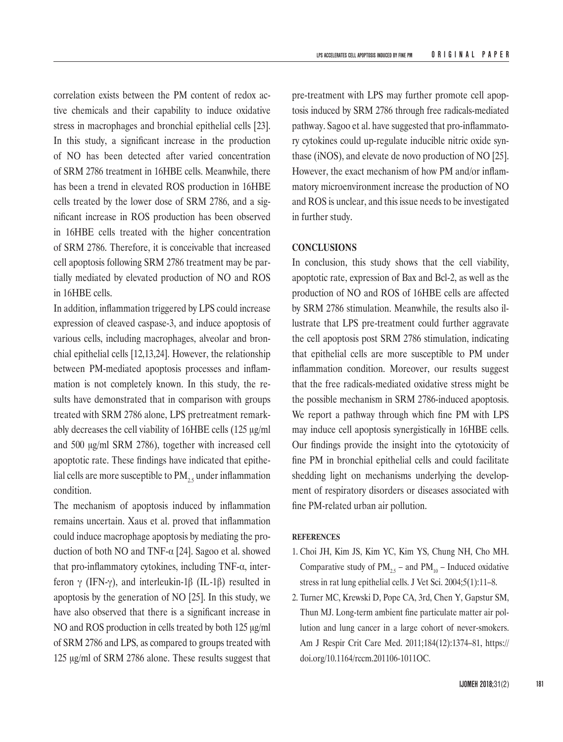correlation exists between the PM content of redox active chemicals and their capability to induce oxidative stress in macrophages and bronchial epithelial cells [23]. In this study, a significant increase in the production of NO has been detected after varied concentration of SRM 2786 treatment in 16HBE cells. Meanwhile, there has been a trend in elevated ROS production in 16HBE cells treated by the lower dose of SRM 2786, and a significant increase in ROS production has been observed in 16HBE cells treated with the higher concentration of SRM 2786. Therefore, it is conceivable that increased cell apoptosis following SRM 2786 treatment may be partially mediated by elevated production of NO and ROS in 16HBE cells.

In addition, inflammation triggered by LPS could increase expression of cleaved caspase-3, and induce apoptosis of various cells, including macrophages, alveolar and bronchial epithelial cells [12,13,24]. However, the relationship between PM-mediated apoptosis processes and inflammation is not completely known. In this study, the results have demonstrated that in comparison with groups treated with SRM 2786 alone, LPS pretreatment remarkably decreases the cell viability of 16HBE cells (125 μg/ml and 500 μg/ml SRM 2786), together with increased cell apoptotic rate. These findings have indicated that epithelial cells are more susceptible to  $PM_{25}$  under inflammation condition.

The mechanism of apoptosis induced by inflammation remains uncertain. Xaus et al. proved that inflammation could induce macrophage apoptosis by mediating the production of both NO and TNF-α [24]. Sagoo et al. showed that pro-inflammatory cytokines, including TNF-α, interferon γ (IFN-γ), and interleukin-1β (IL-1β) resulted in apoptosis by the generation of NO [25]. In this study, we have also observed that there is a significant increase in NO and ROS production in cells treated by both 125 μg/ml of SRM 2786 and LPS, as compared to groups treated with 125 μg/ml of SRM 2786 alone. These results suggest that

pre-treatment with LPS may further promote cell apoptosis induced by SRM 2786 through free radicals-mediated pathway. Sagoo et al. have suggested that pro-inflammatory cytokines could up-regulate inducible nitric oxide synthase (iNOS), and elevate de novo production of NO [25]. However, the exact mechanism of how PM and/or inflammatory microenvironment increase the production of NO and ROS is unclear, and this issue needs to be investigated in further study.

# **CONCLUSIONS**

In conclusion, this study shows that the cell viability, apoptotic rate, expression of Bax and Bcl-2, as well as the production of NO and ROS of 16HBE cells are affected by SRM 2786 stimulation. Meanwhile, the results also illustrate that LPS pre-treatment could further aggravate the cell apoptosis post SRM 2786 stimulation, indicating that epithelial cells are more susceptible to PM under inflammation condition. Moreover, our results suggest that the free radicals-mediated oxidative stress might be the possible mechanism in SRM 2786-induced apoptosis. We report a pathway through which fine PM with LPS may induce cell apoptosis synergistically in 16HBE cells. Our findings provide the insight into the cytotoxicity of fine PM in bronchial epithelial cells and could facilitate shedding light on mechanisms underlying the development of respiratory disorders or diseases associated with fine PM-related urban air pollution.

#### **REFERENCES**

- 1. Choi JH, Kim JS, Kim YC, Kim YS, Chung NH, Cho MH. Comparative study of  $PM_{2.5}$  – and  $PM_{10}$  – Induced oxidative stress in rat lung epithelial cells. J Vet Sci. 2004;5(1):11–8.
- 2. Turner MC, Krewski D, Pope CA, 3rd, Chen Y, Gapstur SM, Thun MJ. Long-term ambient fine particulate matter air pollution and lung cancer in a large cohort of never-smokers. Am J Respir Crit Care Med. 2011;184(12):1374–81, [https://](https://doi.org/10.1164/rccm.201106-1011OC) [doi.org/10.1164/rccm.201106-1011OC](https://doi.org/10.1164/rccm.201106-1011OC).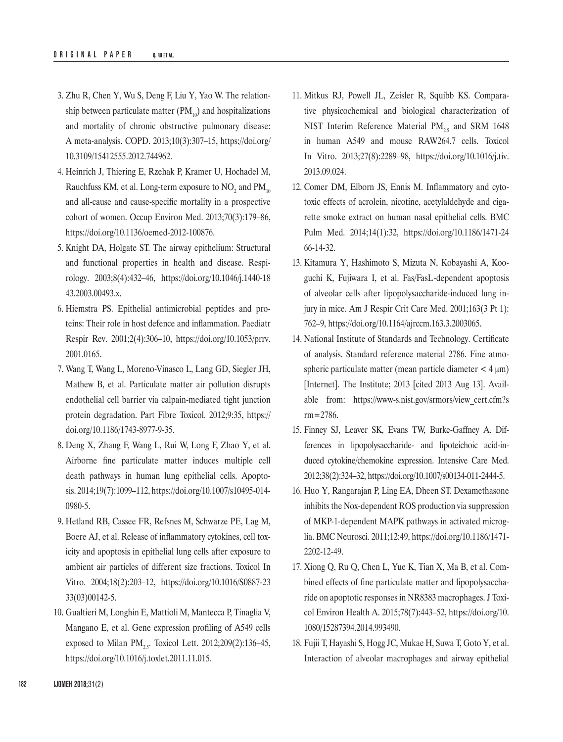- 3. Zhu R, Chen Y, Wu S, Deng F, Liu Y, Yao W. The relationship between particulate matter  $(PM_{10})$  and hospitalizations and mortality of chronic obstructive pulmonary disease: A meta-analysis. COPD. 2013;10(3):307–15, [https://doi.org/](https://doi.org/10.3109/15412555.2012.744962) [10.3109/15412555.2012.744962](https://doi.org/10.3109/15412555.2012.744962).
- 4. Heinrich J, Thiering E, Rzehak P, Kramer U, Hochadel M, Rauchfuss KM, et al. Long-term exposure to  $\rm NO_2$  and  $\rm PM_{10}$ and all-cause and cause-specific mortality in a prospective cohort of women. Occup Environ Med. 2013;70(3):179–86, <https://doi.org/10.1136/oemed-2012-100876>.
- 5. Knight DA, Holgate ST. The airway epithelium: Structural and functional properties in health and disease. Respirology. 2003;8(4):432–46, [https://doi.org/10.1046/j.1440-18](https://doi.org/10.1046/j.1440-1843.2003.00493.x) [43.2003.00493.x](https://doi.org/10.1046/j.1440-1843.2003.00493.x).
- 6. Hiemstra PS. Epithelial antimicrobial peptides and proteins: Their role in host defence and inflammation. Paediatr Respir Rev. 2001;2(4):306–10, [https://doi.org/10.1053/prrv.](https://doi.org/10.1053/prrv.2001.0165) [2001.0165](https://doi.org/10.1053/prrv.2001.0165).
- 7. Wang T, Wang L, Moreno-Vinasco L, Lang GD, Siegler JH, Mathew B, et al. Particulate matter air pollution disrupts endothelial cell barrier via calpain-mediated tight junction protein degradation. Part Fibre Toxicol. 2012;9:35, [https://](https://doi.org/10.1186/1743-8977-9-35) [doi.org/10.1186/1743-8977-9-35](https://doi.org/10.1186/1743-8977-9-35).
- 8. Deng X, Zhang F, Wang L, Rui W, Long F, Zhao Y, et al. Airborne fine particulate matter induces multiple cell death pathways in human lung epithelial cells. Apoptosis. 2014;19(7):1099–112, [https://doi.org/10.1007/s10495-014-](https://doi.org/10.1007/s10495-014-0980-5) [0980-5](https://doi.org/10.1007/s10495-014-0980-5).
- 9. Hetland RB, Cassee FR, Refsnes M, Schwarze PE, Lag M, Boere AJ, et al. Release of inflammatory cytokines, cell toxicity and apoptosis in epithelial lung cells after exposure to ambient air particles of different size fractions. Toxicol In Vitro. 2004;18(2):203–12, [https://doi.org/10.1016/S0887-23](https://doi.org/10.1016/S0887-2333%2803%2900142-5) [33\(03\)00142-5](https://doi.org/10.1016/S0887-2333%2803%2900142-5).
- 10. Gualtieri M, Longhin E, Mattioli M, Mantecca P, Tinaglia V, Mangano E, et al. Gene expression profiling of A549 cells exposed to Milan PM<sub>25</sub>. Toxicol Lett.  $2012;209(2):136-45$ , <https://doi.org/10.1016/j.toxlet.2011.11.015>.
- 11. Mitkus RJ, Powell JL, Zeisler R, Squibb KS. Comparative physicochemical and biological characterization of NIST Interim Reference Material  $PM_{2.5}$  and SRM 1648 in human A549 and mouse RAW264.7 cells. Toxicol In Vitro. 2013;27(8):2289–98, [https://doi.org/10.1016/j.tiv.](https://doi.org/10.1016/j.tiv.2013.09.024) [2013.09.024](https://doi.org/10.1016/j.tiv.2013.09.024).
- 12. Comer DM, Elborn JS, Ennis M. Inflammatory and cytotoxic effects of acrolein, nicotine, acetylaldehyde and cigarette smoke extract on human nasal epithelial cells. BMC Pulm Med. 2014;14(1):32, [https://doi.org/10.1186/1471-24](https://doi.org/10.1186/1471-2466-14-32) [66-14-32](https://doi.org/10.1186/1471-2466-14-32).
- 13. Kitamura Y, Hashimoto S, Mizuta N, Kobayashi A, Kooguchi K, Fujiwara I, et al. Fas/FasL-dependent apoptosis of alveolar cells after lipopolysaccharide-induced lung injury in mice. Am J Respir Crit Care Med. 2001;163(3 Pt 1): 762–9,<https://doi.org/10.1164/ajrccm.163.3.2003065>.
- 14. National Institute of Standards and Technology. Certificate of analysis. Standard reference material 2786. Fine atmospheric particulate matter (mean particle diameter  $<$  4  $\mu$ m) [Internet]. The Institute; 2013 [cited 2013 Aug 13]. Available from: [https://www-s.nist.gov/srmors/view\\_cert.cfm?s](https://www-s.nist.gov/srmors/view_cert.cfm?srm=2786) [rm=2786](https://www-s.nist.gov/srmors/view_cert.cfm?srm=2786).
- 15. Finney SJ, Leaver SK, Evans TW, Burke-Gaffney A. Differences in lipopolysaccharide- and lipoteichoic acid-induced cytokine/chemokine expression. Intensive Care Med. 2012;38(2):324–32,<https://doi.org/10.1007/s00134-011-2444-5>.
- 16. Huo Y, Rangarajan P, Ling EA, Dheen ST. Dexamethasone inhibits the Nox-dependent ROS production via suppression of MKP-1-dependent MAPK pathways in activated microglia. BMC Neurosci. 2011;12:49, [https://doi.org/10.1186/1471-](https://doi.org/10.1186/1471-2202-12-49) [2202-12-49](https://doi.org/10.1186/1471-2202-12-49).
- 17. Xiong Q, Ru Q, Chen L, Yue K, Tian X, Ma B, et al. Combined effects of fine particulate matter and lipopolysaccharide on apoptotic responses in NR8383 macrophages. J Toxicol Environ Health A. 2015;78(7):443–52, [https://doi.org/10.](https://doi.org/10.1080/15287394.2014.993490) [1080/15287394.2014.993490](https://doi.org/10.1080/15287394.2014.993490).
- 18. Fujii T, Hayashi S, Hogg JC, Mukae H, Suwa T, Goto Y, et al. Interaction of alveolar macrophages and airway epithelial